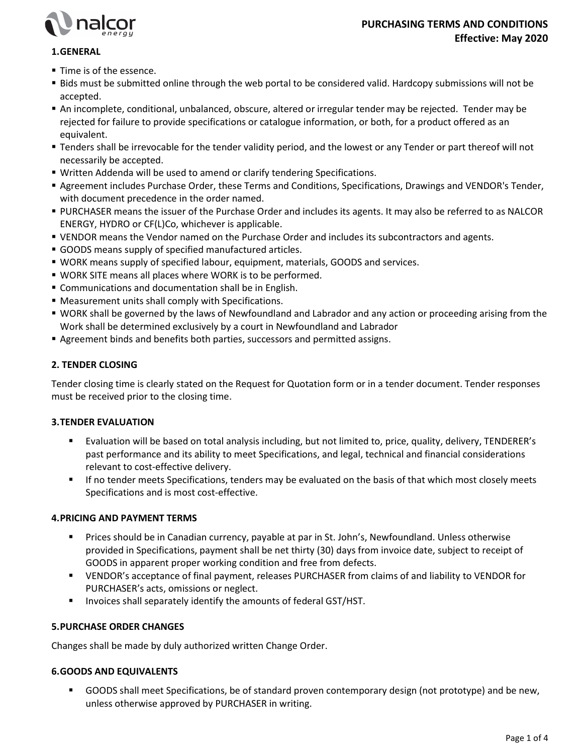

# 1. GENERAL

- **Time is of the essence.**
- Bids must be submitted online through the web portal to be considered valid. Hardcopy submissions will not be accepted.
- An incomplete, conditional, unbalanced, obscure, altered or irregular tender may be rejected. Tender may be rejected for failure to provide specifications or catalogue information, or both, for a product offered as an equivalent.
- Tenders shall be irrevocable for the tender validity period, and the lowest or any Tender or part thereof will not necessarily be accepted.
- Written Addenda will be used to amend or clarify tendering Specifications.
- Agreement includes Purchase Order, these Terms and Conditions, Specifications, Drawings and VENDOR's Tender, with document precedence in the order named.
- PURCHASER means the issuer of the Purchase Order and includes its agents. It may also be referred to as NALCOR ENERGY, HYDRO or CF(L)Co, whichever is applicable.
- VENDOR means the Vendor named on the Purchase Order and includes its subcontractors and agents.
- GOODS means supply of specified manufactured articles.
- WORK means supply of specified labour, equipment, materials, GOODS and services.
- WORK SITE means all places where WORK is to be performed.
- **EX Communications and documentation shall be in English.**
- Measurement units shall comply with Specifications.
- WORK shall be governed by the laws of Newfoundland and Labrador and any action or proceeding arising from the Work shall be determined exclusively by a court in Newfoundland and Labrador
- Agreement binds and benefits both parties, successors and permitted assigns.

## 2. TENDER CLOSING

Tender closing time is clearly stated on the Request for Quotation form or in a tender document. Tender responses must be received prior to the closing time.

### 3. TENDER EVALUATION

- Evaluation will be based on total analysis including, but not limited to, price, quality, delivery, TENDERER's past performance and its ability to meet Specifications, and legal, technical and financial considerations relevant to cost-effective delivery.
- If no tender meets Specifications, tenders may be evaluated on the basis of that which most closely meets Specifications and is most cost-effective.

## 4. PRICING AND PAYMENT TERMS

- Prices should be in Canadian currency, payable at par in St. John's, Newfoundland. Unless otherwise provided in Specifications, payment shall be net thirty (30) days from invoice date, subject to receipt of GOODS in apparent proper working condition and free from defects.
- VENDOR's acceptance of final payment, releases PURCHASER from claims of and liability to VENDOR for PURCHASER's acts, omissions or neglect.
- **INVOICES Shall separately identify the amounts of federal GST/HST.**

## 5. PURCHASE ORDER CHANGES

Changes shall be made by duly authorized written Change Order.

### 6. GOODS AND EQUIVALENTS

 GOODS shall meet Specifications, be of standard proven contemporary design (not prototype) and be new, unless otherwise approved by PURCHASER in writing.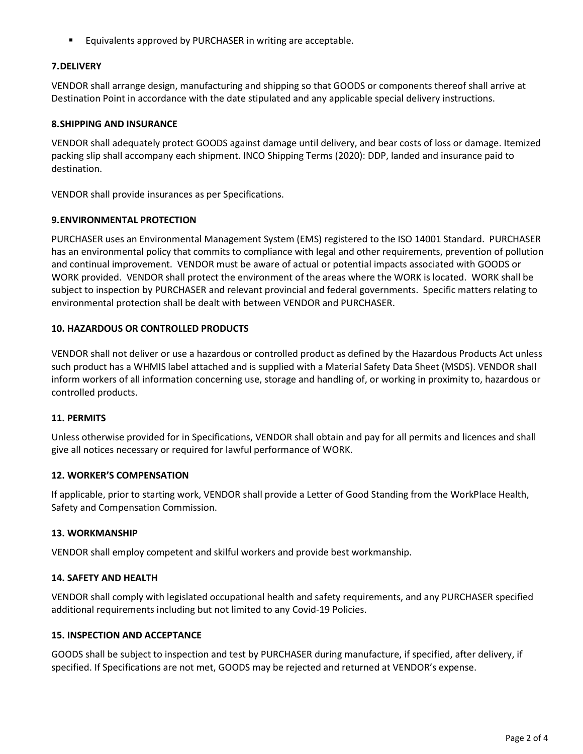**Equivalents approved by PURCHASER in writing are acceptable.** 

## 7. DELIVERY

VENDOR shall arrange design, manufacturing and shipping so that GOODS or components thereof shall arrive at Destination Point in accordance with the date stipulated and any applicable special delivery instructions.

### 8. SHIPPING AND INSURANCE

VENDOR shall adequately protect GOODS against damage until delivery, and bear costs of loss or damage. Itemized packing slip shall accompany each shipment. INCO Shipping Terms (2020): DDP, landed and insurance paid to destination.

VENDOR shall provide insurances as per Specifications.

### 9. ENVIRONMENTAL PROTECTION

PURCHASER uses an Environmental Management System (EMS) registered to the ISO 14001 Standard. PURCHASER has an environmental policy that commits to compliance with legal and other requirements, prevention of pollution and continual improvement. VENDOR must be aware of actual or potential impacts associated with GOODS or WORK provided. VENDOR shall protect the environment of the areas where the WORK is located. WORK shall be subject to inspection by PURCHASER and relevant provincial and federal governments. Specific matters relating to environmental protection shall be dealt with between VENDOR and PURCHASER.

## 10. HAZARDOUS OR CONTROLLED PRODUCTS

VENDOR shall not deliver or use a hazardous or controlled product as defined by the Hazardous Products Act unless such product has a WHMIS label attached and is supplied with a Material Safety Data Sheet (MSDS). VENDOR shall inform workers of all information concerning use, storage and handling of, or working in proximity to, hazardous or controlled products.

### 11. PERMITS

Unless otherwise provided for in Specifications, VENDOR shall obtain and pay for all permits and licences and shall give all notices necessary or required for lawful performance of WORK.

### 12. WORKER'S COMPENSATION

If applicable, prior to starting work, VENDOR shall provide a Letter of Good Standing from the WorkPlace Health, Safety and Compensation Commission.

### 13. WORKMANSHIP

VENDOR shall employ competent and skilful workers and provide best workmanship.

### 14. SAFETY AND HEALTH

VENDOR shall comply with legislated occupational health and safety requirements, and any PURCHASER specified additional requirements including but not limited to any Covid-19 Policies.

### 15. INSPECTION AND ACCEPTANCE

GOODS shall be subject to inspection and test by PURCHASER during manufacture, if specified, after delivery, if specified. If Specifications are not met, GOODS may be rejected and returned at VENDOR's expense.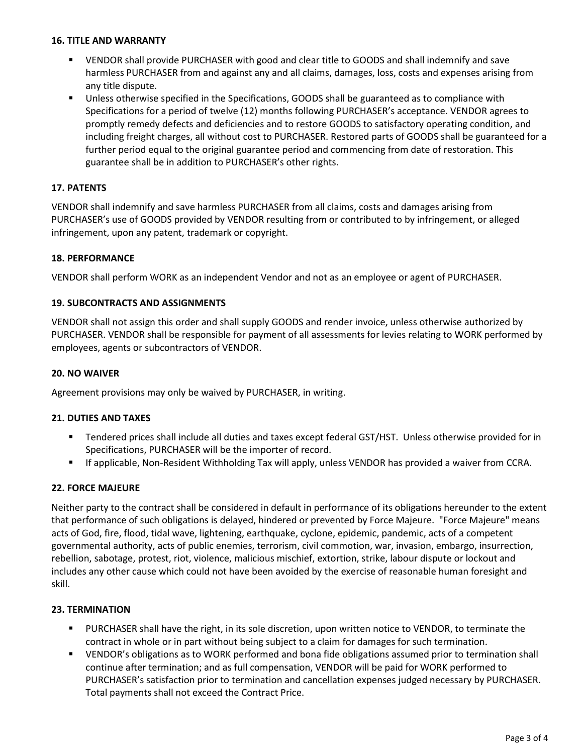### 16. TITLE AND WARRANTY

- VENDOR shall provide PURCHASER with good and clear title to GOODS and shall indemnify and save harmless PURCHASER from and against any and all claims, damages, loss, costs and expenses arising from any title dispute.
- Unless otherwise specified in the Specifications, GOODS shall be guaranteed as to compliance with Specifications for a period of twelve (12) months following PURCHASER's acceptance. VENDOR agrees to promptly remedy defects and deficiencies and to restore GOODS to satisfactory operating condition, and including freight charges, all without cost to PURCHASER. Restored parts of GOODS shall be guaranteed for a further period equal to the original guarantee period and commencing from date of restoration. This guarantee shall be in addition to PURCHASER's other rights.

## 17. PATENTS

VENDOR shall indemnify and save harmless PURCHASER from all claims, costs and damages arising from PURCHASER's use of GOODS provided by VENDOR resulting from or contributed to by infringement, or alleged infringement, upon any patent, trademark or copyright.

## 18. PERFORMANCE

VENDOR shall perform WORK as an independent Vendor and not as an employee or agent of PURCHASER.

## 19. SUBCONTRACTS AND ASSIGNMENTS

VENDOR shall not assign this order and shall supply GOODS and render invoice, unless otherwise authorized by PURCHASER. VENDOR shall be responsible for payment of all assessments for levies relating to WORK performed by employees, agents or subcontractors of VENDOR.

### 20. NO WAIVER

Agreement provisions may only be waived by PURCHASER, in writing.

## 21. DUTIES AND TAXES

- Tendered prices shall include all duties and taxes except federal GST/HST. Unless otherwise provided for in Specifications, PURCHASER will be the importer of record.
- If applicable, Non-Resident Withholding Tax will apply, unless VENDOR has provided a waiver from CCRA.

## 22. FORCE MAJEURE

Neither party to the contract shall be considered in default in performance of its obligations hereunder to the extent that performance of such obligations is delayed, hindered or prevented by Force Majeure. "Force Majeure" means acts of God, fire, flood, tidal wave, lightening, earthquake, cyclone, epidemic, pandemic, acts of a competent governmental authority, acts of public enemies, terrorism, civil commotion, war, invasion, embargo, insurrection, rebellion, sabotage, protest, riot, violence, malicious mischief, extortion, strike, labour dispute or lockout and includes any other cause which could not have been avoided by the exercise of reasonable human foresight and skill.

### 23. TERMINATION

- PURCHASER shall have the right, in its sole discretion, upon written notice to VENDOR, to terminate the contract in whole or in part without being subject to a claim for damages for such termination.
- VENDOR's obligations as to WORK performed and bona fide obligations assumed prior to termination shall continue after termination; and as full compensation, VENDOR will be paid for WORK performed to PURCHASER's satisfaction prior to termination and cancellation expenses judged necessary by PURCHASER. Total payments shall not exceed the Contract Price.